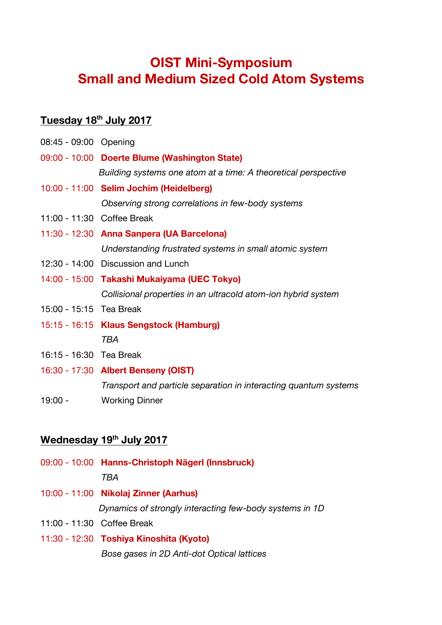# **OIST Mini-Symposium Small and Medium Sized Cold Atom Systems**

#### **Tuesday 18th July 2017**

| 08:45 - 09:00 Opening   |                                                                  |
|-------------------------|------------------------------------------------------------------|
|                         | 09:00 - 10:00 Doerte Blume (Washington State)                    |
|                         | Building systems one atom at a time: A theoretical perspective   |
|                         | 10:00 - 11:00 Selim Jochim (Heidelberg)                          |
|                         | Observing strong correlations in few-body systems                |
|                         | 11:00 - 11:30 Coffee Break                                       |
|                         | 11:30 - 12:30 Anna Sanpera (UA Barcelona)                        |
|                         | Understanding frustrated systems in small atomic system          |
|                         | 12:30 - 14:00 Discussion and Lunch                               |
|                         | 14:00 - 15:00 Takashi Mukaiyama (UEC Tokyo)                      |
|                         | Collisional properties in an ultracold atom-ion hybrid system    |
| 15:00 - 15:15 Tea Break |                                                                  |
|                         | 15:15 - 16:15 Klaus Sengstock (Hamburg)                          |
|                         | TBA                                                              |
| 16:15 - 16:30 Tea Break |                                                                  |
|                         | 16:30 - 17:30 Albert Benseny (OIST)                              |
|                         | Transport and particle separation in interacting quantum systems |
| $19:00 -$               | <b>Working Dinner</b>                                            |

## **Wednesday 19th July 2017**

|                            | 09:00 - 10:00 Hanns-Christoph Nägerl (Innsbruck)        |
|----------------------------|---------------------------------------------------------|
|                            | TRA                                                     |
|                            | 10:00 - 11:00 Nikolaj Zinner (Aarhus)                   |
|                            | Dynamics of strongly interacting few-body systems in 1D |
| 11:00 - 11:30 Coffee Break |                                                         |

11:30 - 12:30 **Toshiya Kinoshita (Kyoto)** *Bose gases in 2D Anti-dot Optical lattices*